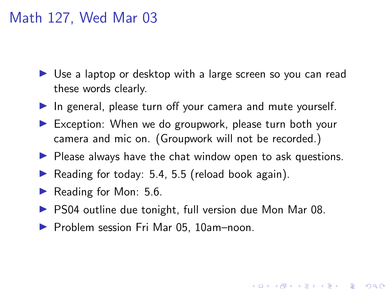#### Math 127, Wed Mar 03

- $\triangleright$  Use a laptop or desktop with a large screen so you can read these words clearly.
- $\blacktriangleright$  In general, please turn off your camera and mute yourself.
- $\triangleright$  Exception: When we do groupwork, please turn both your camera and mic on. (Groupwork will not be recorded.)
- $\blacktriangleright$  Please always have the chat window open to ask questions.
- Reading for today:  $5.4$ ,  $5.5$  (reload book again).
- Reading for Mon:  $5.6$ .
- $\triangleright$  PS04 outline due tonight, full version due Mon Mar 08.

**KORKARYKERKER POLO** 

▶ Problem session Fri Mar 05, 10am-noon.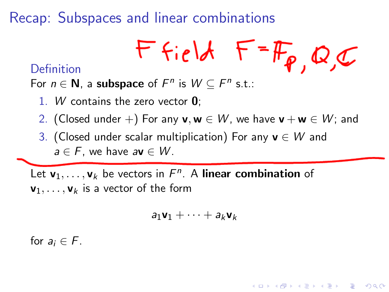Recap: Subspaces and linear combinations

$$
Ffield F=F_{p,Q,C}
$$

**KORKARYKERKER POLO** 

#### Definition

For  $n \in \mathbb{N}$ , a subspace of  $F^n$  is  $W \subseteq F^n$  s.t.:

- 1. W contains the zero vector  $\mathbf{0}$ ;
- 2. (Closed under +) For any  $v, w \in W$ , we have  $v + w \in W$ ; and
- 3. (Closed under scalar multiplication) For any  $v \in W$  and  $a \in F$ , we have  $a\mathbf{v} \in W$ .

Let  $\mathbf{v}_1,\ldots,\mathbf{v}_k$  be vectors in  $F^n$ . A linear combination of  $\mathbf{v}_1, \ldots, \mathbf{v}_k$  is a vector of the form

$$
a_1\textbf{v}_1+\cdots+a_k\textbf{v}_k
$$

for  $a_i \in F$ .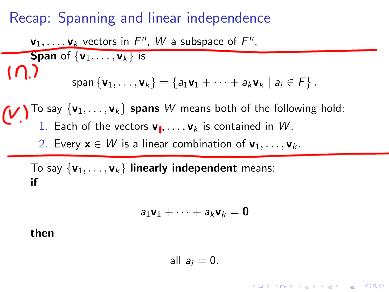### Recap: Spanning and linear independence

| $\mathbf{v}_1, \ldots, \mathbf{v}_k$ vectors in $F^n$ , $W$ a subspace of $F^n$ .                       |                                                                                                                 |
|---------------------------------------------------------------------------------------------------------|-----------------------------------------------------------------------------------------------------------------|
| Span of $\{\mathbf{v}_1, \ldots, \mathbf{v}_k\}$ is                                                     |                                                                                                                 |
| $\bigcap$                                                                                               | span $\{\mathbf{v}_1, \ldots, \mathbf{v}_k\} = \{a_1\mathbf{v}_1 + \cdots + a_k\mathbf{v}_k \mid a_i \in F\}$ . |
| $\bigcup$ To say $\{\mathbf{v}_1, \ldots, \mathbf{v}_k\}$ spans $W$ means both of the following hold:\n |                                                                                                                 |
| $\bigcup$ To say $\{\mathbf{v}_1, \ldots, \mathbf{v}_k\}$ spans $W$ means both of the following hold:\n |                                                                                                                 |
| 1. Each of the vectors $\mathbf{v}_1, \ldots, \mathbf{v}_k$ is contained in $W$ .\n                     |                                                                                                                 |
| 2. Every $\mathbf{x} \in W$ is a linear combination of $\mathbf{v}_1, \ldots, \mathbf{v}_k$ .\n         |                                                                                                                 |

To say  $\{v_1, \ldots, v_k\}$  linearly independent means: if

$$
a_1\mathbf{v}_1+\cdots+a_k\mathbf{v}_k=\mathbf{0}
$$

then

$$
all a_i = 0.
$$

KO K K Ø K K E K K E K V K K K K K K K K K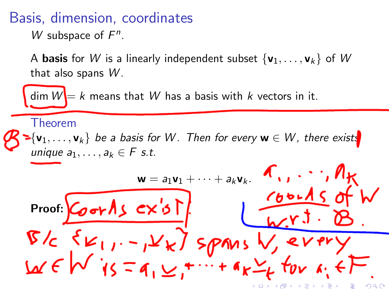Basis, dimension, coordinates

W subspace of  $F^n$ .

A **basis** for W is a linearly independent subset  $\{v_1, \ldots, v_k\}$  of W that also spans  $W$ .

dim  $W = k$  means that W has a basis with k vectors in it.

Theorem

 ${\blacktriangleright} \{ {\sf v}_1, \ldots, {\sf v}_k \}$  be a basis for  $W$ . Then for every  ${\sf w} \in W$ , there exists unique  $a_1, \ldots, a_k \in F$  s.t.

$$
w = a_1v_1 + \dots + a_kv_k
$$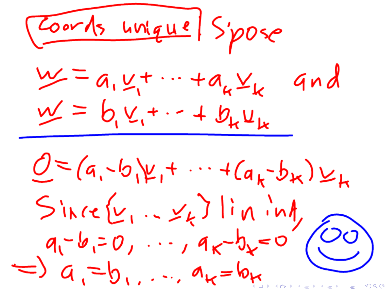Coards unique Spose  $\underline{w} = a_1 \underline{v_1} + \cdots + a_k \underline{v_k}$ gnd  $\underline{w} = b_{1}v_{1} + \cdots + b_{k}u_{k}$  $0 = (a, -b) + ... + (a_{k}-b_{k}) \vee k$  $Sinc\{v_1...v_k\}lin\{v_1\}$ <br>  $q_1-b_1=0,..., q_k-b_k=0$ <br>  $\Rightarrow q_1=b_1,..., a_k=b_k$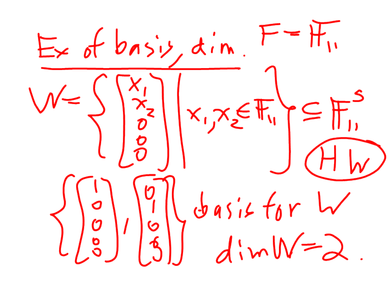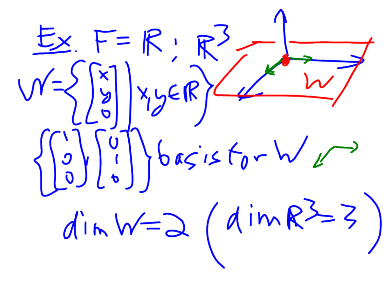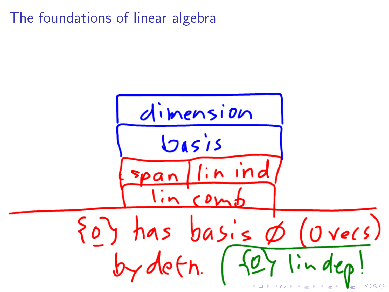### The foundations of linear algebra

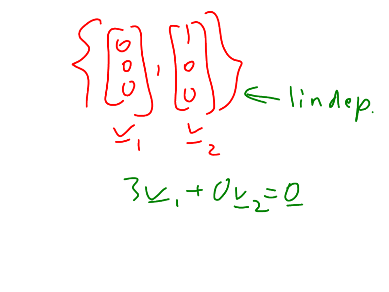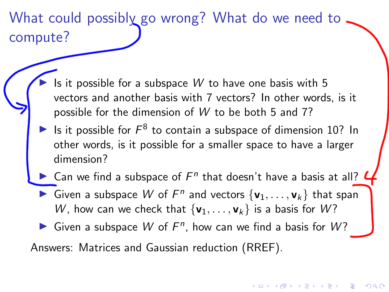# What could possibly go wrong? What do we need to compute?

- Is it possible for a subspace  $W$  to have one basis with 5 vectors and another basis with 7 vectors? In other words, is it possible for the dimension of W to be both 5 and 7?
- In Is it possible for  $F^8$  to contain a subspace of dimension 10? In other words, is it possible for a smaller space to have a larger dimension?
- Can we find a subspace of  $F^n$  that doesn't have a basis at all?
- Given a subspace W of  $F^n$  and vectors  $\{v_1, \ldots, v_k\}$  that span W, how can we check that  $\{v_1, \ldots, v_k\}$  is a basis for W?

 $\mathbf{E} = \mathbf{A} \oplus \mathbf{B} + \mathbf{A} \oplus \mathbf{B} + \mathbf{A} \oplus \mathbf{B} + \mathbf{A} \oplus \mathbf{A}$ 

 $2990$ 

Given a subspace W of  $F^n$ , how can we find a basis for W?

Answers: Matrices and Gaussian reduction (RREF).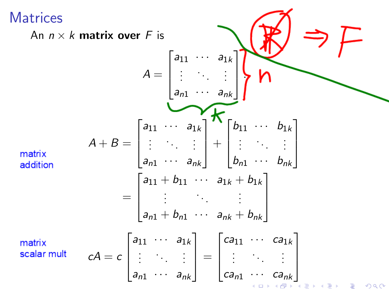**Matrices** 

<span id="page-10-0"></span>An  $n \times k$  matrix over F is  $A = \begin{bmatrix} a_{11} & \cdots & a_{1k} \\ \vdots & & \vdots \\ a_{n1} & \cdots & a_{nk} \end{bmatrix}$  $A + B = \begin{bmatrix} a_{11} & a_{1k} \\ \vdots & \vdots \\ a_{n1} & a_{nk} \end{bmatrix} + \begin{bmatrix} b_{11} & \cdots & b_{1k} \\ \vdots & \ddots & \vdots \\ b_{n1} & \cdots & b_{nk} \end{bmatrix}$ matrix addition  $= \begin{bmatrix} a_{11} + b_{11} & \cdots & a_{1k} + b_{1k} \\ \vdots & \ddots & \vdots \\ a_{n1} + b_{n1} & \cdots & a_{nk} + b_{nk} \end{bmatrix}$  $cA = c \begin{bmatrix} a_{11} & \cdots & a_{1k} \\ \vdots & \ddots & \vdots \\ a_{n1} & \cdots & a_{nk} \end{bmatrix} = \begin{bmatrix} ca_{11} & \cdots & ca_{1k} \\ \vdots & \ddots & \vdots \\ ca_{n1} & \cdots & ca_{nk} \end{bmatrix}$ matrix scalar mult **伊 ▶ 4 ミ ▶ 4 ミ ▶**  $\Omega$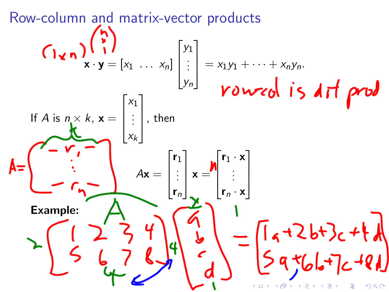<span id="page-11-0"></span>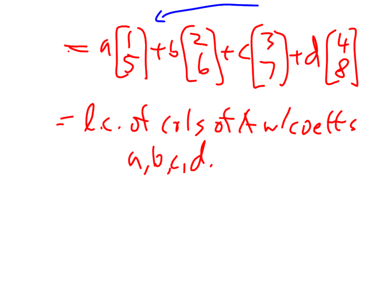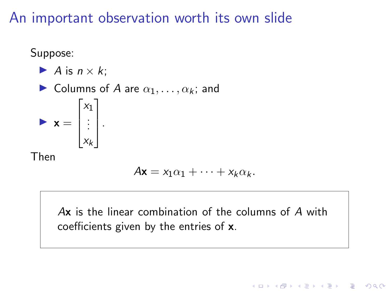#### An important observation worth its own slide

Suppose:

\n- A is 
$$
n \times k
$$
;
\n- Columns of A are  $\alpha_1, \ldots, \alpha_k$ ; and
\n- $\mathbf{x} = \begin{bmatrix} x_1 \\ \vdots \\ x_k \end{bmatrix}$ .
\n- Then
\n

$$
A\mathbf{x} = x_1\alpha_1 + \cdots + x_k\alpha_k.
$$

Ax is the linear combination of the columns of A with coefficients given by the entries of x.

K ロ ▶ K 個 ▶ K 할 ▶ K 할 ▶ ( 할 → ) 익 Q Q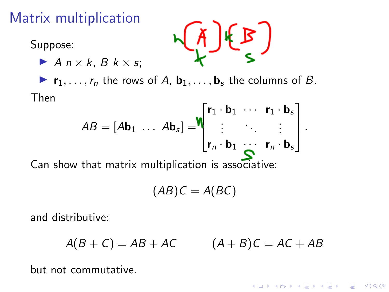## Matrix multiplication

 $\blacktriangleright$  A  $n \times k$ , B  $k \times s$ ;

Suppose:



 $\blacktriangleright$   $\mathbf{r}_1, \ldots, \mathbf{r}_n$  the rows of A,  $\mathbf{b}_1, \ldots, \mathbf{b}_s$  the columns of B. Then

$$
AB = [Ab_1 \dots Ab_s] = \begin{bmatrix} r_1 \cdot b_1 & \cdots & r_1 \cdot b_s \\ \vdots & \ddots & \vdots \\ r_n \cdot b_1 & \cdots & r_n \cdot b_s \end{bmatrix}.
$$

Can show that matrix multiplication is associative:

$$
(AB)C = A(BC)
$$

and distributive:

$$
A(B+C) = AB + AC \qquad (A+B)C = AC + AB
$$

**KORKARYKERKER POLO** 

but not commutative.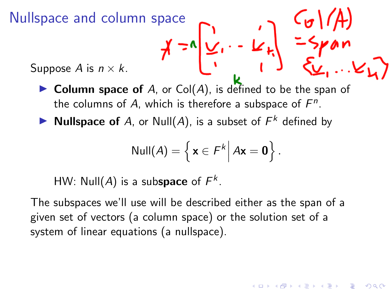Nullspace and column space<br>Suppose A is  $n \times k$ .<br>Suppose A is  $n \times k$ .

Suppose A is  $n \times k$ .

- $\triangleright$  Column space of A, or Col(A), is defined to be the span of the columns of A, which is therefore a subspace of  $F<sup>n</sup>$ .
- Nullspace of A, or Null(A), is a subset of  $F^k$  defined by

$$
\text{Null}(A) = \left\{ \mathbf{x} \in F^k \middle| A\mathbf{x} = \mathbf{0} \right\}.
$$

イロト イ押 トイヨ トイヨ トー

HW: Null(A) is a subspace of  $F^k$ .

The subspaces we'll use will be described either as the span of a given set of vectors (a column space) or the solution set of a system of linear equations (a nullspace).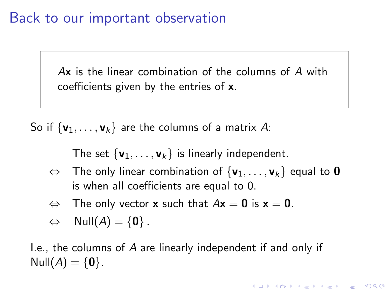#### Back to our important observation

Ax is the linear combination of the columns of A with coefficients given by the entries of x.

So if  $\{v_1, \ldots, v_k\}$  are the columns of a matrix A:

The set  $\{v_1, \ldots, v_k\}$  is linearly independent.

 $\Leftrightarrow$  The only linear combination of  $\{v_1, \ldots, v_k\}$  equal to **0** is when all coefficients are equal to 0.

KELK KØLK VELKEN EL 1990

- $\Leftrightarrow$  The only vector **x** such that  $A\mathbf{x} = \mathbf{0}$  is  $\mathbf{x} = \mathbf{0}$ .
- $\Leftrightarrow$  Null $(A) = \{0\}$ .

I.e., the columns of A are linearly independent if and only if  $Null(A) = \{0\}.$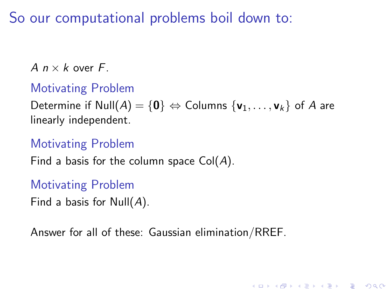So our computational problems boil down to:

A  $n \times k$  over F.

#### Motivating Problem

Determine if Null $(A) = \{0\} \Leftrightarrow$  Columns  $\{v_1, \ldots, v_k\}$  of A are linearly independent.

KELK KØLK VELKEN EL 1990

#### Motivating Problem

Find a basis for the column space  $Col(A)$ .

Motivating Problem

Find a basis for  $Null(A)$ .

Answer for all of these: Gaussian elimination/RREF.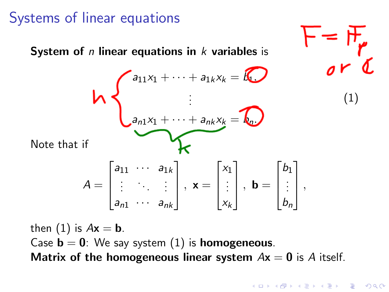## Systems of linear equations

<span id="page-18-0"></span>

Matrix of the homogeneous linear system  $Ax = 0$  is A itself.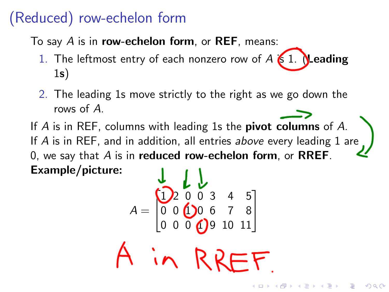## (Reduced) row-echelon form

To say  $A$  is in row-echelon form, or REF, means:

- 1. The leftmost entry of each nonzero row of  $A$  is 1. Heading 1s)
- 2. The leading 1s move strictly to the right as we go down the rows of A.

If A is in REF, columns with leading 1s the pivot columns of A. If  $A$  is in REF, and in addition, all entries above every leading  $1$  are 0, we say that  $A$  is in reduced row-echelon form, or RREF. Example/picture:

$$
A = \begin{bmatrix} 1 & 1 & 1 & 1 \\ 0 & 0 & 0 & 0 & 0 & 0 \\ 0 & 0 & 0 & 0 & 0 & 0 & 0 \\ 0 & 0 & 0 & 0 & 0 & 0 & 11 \end{bmatrix}
$$

**KOD KAR KED KED E YOUN**